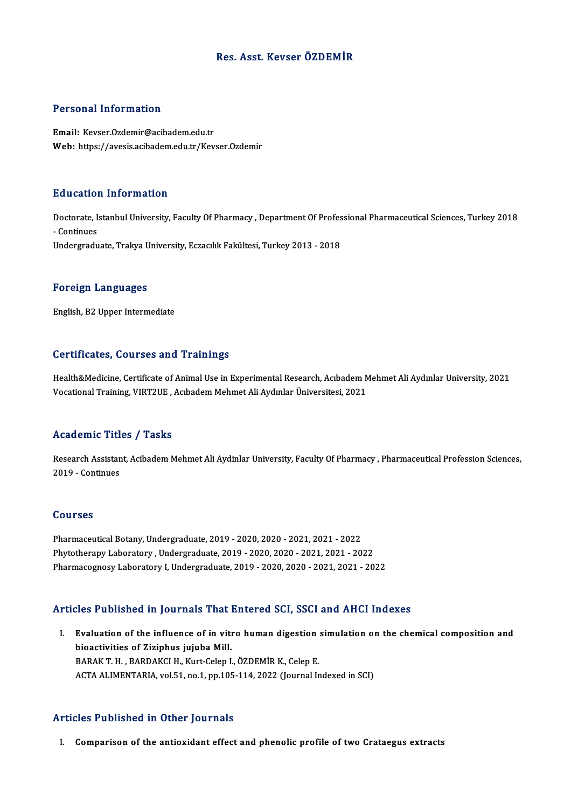### Res. Asst. Kevser ÖZDEMİR

#### Personal Information

Email: Kevser.Ozdemir@acibadem.edu.tr Web: https://avesis.acibadem.edu.tr/Kevser.Ozdemir

#### Education Information

**Education Information**<br>Doctorate, Istanbul University, Faculty Of Pharmacy , Department Of Professional Pharmaceutical Sciences, Turkey 2018<br>Continues Daucation<br>Doctorate, I:<br>Undorgradu - Continues<br>Undergraduate, Trakya University, Eczacılık Fakültesi, Turkey 2013 - 2018

#### Foreign Languages

English,B2Upper Intermediate

#### Certificates, Courses and Trainings

Health&Medicine, Certificate of Animal Use in Experimental Research, Acıbadem Mehmet Ali Aydınlar University, 2021 Vocational Training, VIRT2UE, Acıbadem Mehmet Ali Aydınlar Üniversitesi, 2021

### Academic Titles / Tasks

Academic Titles / Tasks<br>Research Assistant, Acibadem Mehmet Ali Aydinlar University, Faculty Of Pharmacy , Pharmaceutical Profession Sciences,<br>2019 - Continues Extra dentre della<br>Research Assistan<br>2019 - Continues 2019 - Continues<br>Courses

Pharmaceutical Botany, Undergraduate, 2019 - 2020, 2020 - 2021, 2021 - 2022 PhytotherapyLaboratory ,Undergraduate,2019 -2020,2020 -2021,2021 -2022 PharmacognosyLaboratory I,Undergraduate,2019 -2020,2020 -2021,2021 -2022

### Articles Published in Journals That Entered SCI, SSCI and AHCI Indexes

I. Evaluation of the influence of in vitro human digestion simulation on the chemical composition and bioactivities of Ziziphus jujuba Mill. BARAK T.H., BARDAKCI H., Kurt-Celep I., ÖZDEMİR K., Celep E. ACTA ALIMENTARIA, vol.51, no.1, pp.105-114, 2022 (Journal Indexed in SCI)

### Articles Published in Other Journals

I. Comparison of the antioxidant effect and phenolic profile of two Crataegus extracts